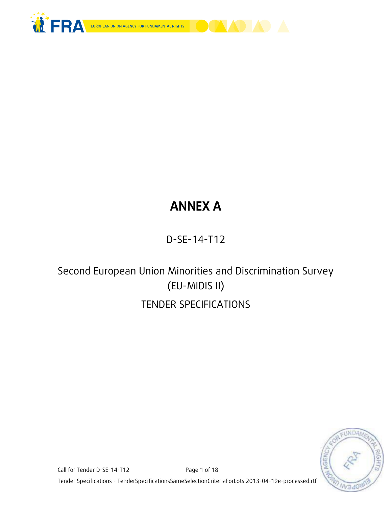



# **ANNEX A**

## D-SE-14-T12

## Second European Union Minorities and Discrimination Survey (EU-MIDIS II) TENDER SPECIFICATIONS



Call for Tender D-SE-14-T12 Page 1 of 18 Tender Specifications - TenderSpecificationsSameSelectionCriteriaForLots.2013-04-19e-processed.rtf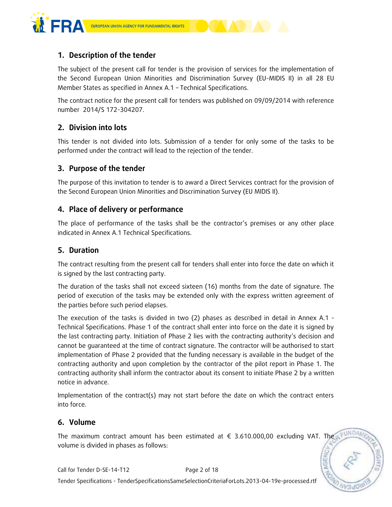

## **1. Description of the tender**

The subject of the present call for tender is the provision of services for the implementation of the Second European Union Minorities and Discrimination Survey (EU-MIDIS II) in all 28 EU Member States as specified in Annex A.1 – Technical Specifications.

The contract notice for the present call for tenders was published on 09/09/2014 with reference number 2014/S 172-304207.

## **2. Division into lots**

This tender is not divided into lots. Submission of a tender for only some of the tasks to be performed under the contract will lead to the rejection of the tender.

## **3. Purpose of the tender**

The purpose of this invitation to tender is to award a Direct Services contract for the provision of the Second European Union Minorities and Discrimination Survey (EU MIDIS II).

#### **4. Place of delivery or performance**

The place of performance of the tasks shall be the contractor's premises or any other place indicated in Annex A.1 Technical Specifications.

#### **5. Duration**

The contract resulting from the present call for tenders shall enter into force the date on which it is signed by the last contracting party.

The duration of the tasks shall not exceed sixteen (16) months from the date of signature. The period of execution of the tasks may be extended only with the express written agreement of the parties before such period elapses.

The execution of the tasks is divided in two (2) phases as described in detail in Annex A.1 - Technical Specifications. Phase 1 of the contract shall enter into force on the date it is signed by the last contracting party. Initiation of Phase 2 lies with the contracting authority's decision and cannot be guaranteed at the time of contract signature. The contractor will be authorised to start implementation of Phase 2 provided that the funding necessary is available in the budget of the contracting authority and upon completion by the contractor of the pilot report in Phase 1. The contracting authority shall inform the contractor about its consent to initiate Phase 2 by a written notice in advance.

Implementation of the contract(s) may not start before the date on which the contract enters into force.

## **6. Volume**

The maximum contract amount has been estimated at  $\epsilon$  3.610.000,00 excluding VAT. The volume is divided in phases as follows: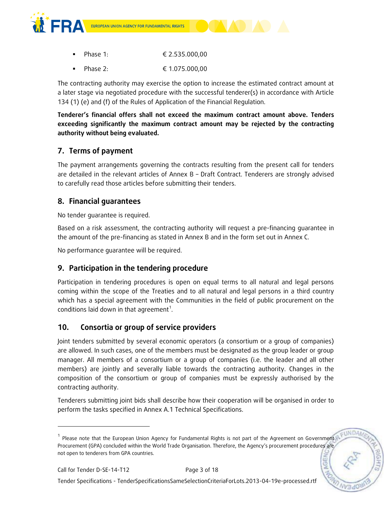



Phase 2: € 1.075.000,00

The contracting authority may exercise the option to increase the estimated contract amount at a later stage via negotiated procedure with the successful tenderer(s) in accordance with Article 134 (1) (e) and (f) of the Rules of Application of the Financial Regulation.

**Tenderer's financial offers shall not exceed the maximum contract amount above. Tenders exceeding significantly the maximum contract amount may be rejected by the contracting authority without being evaluated.** 

## **7. Terms of payment**

The payment arrangements governing the contracts resulting from the present call for tenders are detailed in the relevant articles of Annex B – Draft Contract. Tenderers are strongly advised to carefully read those articles before submitting their tenders.

## **8. Financial guarantees**

No tender guarantee is required.

Based on a risk assessment, the contracting authority will request a pre-financing guarantee in the amount of the pre-financing as stated in Annex B and in the form set out in Annex C.

No performance guarantee will be required.

## **9. Participation in the tendering procedure**

Participation in tendering procedures is open on equal terms to all natural and legal persons coming within the scope of the Treaties and to all natural and legal persons in a third country which has a special agreement with the Communities in the field of public procurement on the conditions laid down in that agreement<sup>1</sup>.

## **10. Consortia or group of service providers**

Joint tenders submitted by several economic operators (a consortium or a group of companies) are allowed. In such cases, one of the members must be designated as the group leader or group manager. All members of a consortium or a group of companies (i.e. the leader and all other members) are jointly and severally liable towards the contracting authority. Changes in the composition of the consortium or group of companies must be expressly authorised by the contracting authority.

Tenderers submitting joint bids shall describe how their cooperation will be organised in order to perform the tasks specified in Annex A.1 Technical Specifications.

-

Tender Specifications - TenderSpecificationsSameSelectionCriteriaForLots.2013-04-19e-processed.rtf

<sup>&</sup>lt;sup>1</sup> Please note that the European Union Agency for Fundamental Rights is not part of the Agreement on Government Procurement (GPA) concluded within the World Trade Organisation. Therefore, the Agency's procurement procedures are not open to tenderers from GPA countries.**AGE**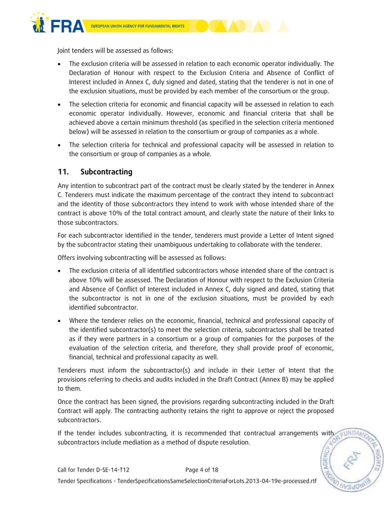

Joint tenders will be assessed as follows:

- The exclusion criteria will be assessed in relation to each economic operator individually. The Declaration of Honour with respect to the Exclusion Criteria and Absence of Conflict of Interest included in Annex C, duly signed and dated, stating that the tenderer is not in one of the exclusion situations, must be provided by each member of the consortium or the group.
- The selection criteria for economic and financial capacity will be assessed in relation to each economic operator individually. However, economic and financial criteria that shall be achieved above a certain minimum threshold (as specified in the selection criteria mentioned below) will be assessed in relation to the consortium or group of companies as a whole.
- The selection criteria for technical and professional capacity will be assessed in relation to the consortium or group of companies as a whole.

## **11. Subcontracting**

Any intention to subcontract part of the contract must be clearly stated by the tenderer in Annex C. Tenderers must indicate the maximum percentage of the contract they intend to subcontract and the identity of those subcontractors they intend to work with whose intended share of the contract is above 10% of the total contract amount, and clearly state the nature of their links to those subcontractors.

For each subcontractor identified in the tender, tenderers must provide a Letter of Intent signed by the subcontractor stating their unambiguous undertaking to collaborate with the tenderer.

Offers involving subcontracting will be assessed as follows:

- The exclusion criteria of all identified subcontractors whose intended share of the contract is above 10% will be assessed. The Declaration of Honour with respect to the Exclusion Criteria and Absence of Conflict of Interest included in Annex C, duly signed and dated, stating that the subcontractor is not in one of the exclusion situations, must be provided by each identified subcontractor.
- Where the tenderer relies on the economic, financial, technical and professional capacity of the identified subcontractor(s) to meet the selection criteria, subcontractors shall be treated as if they were partners in a consortium or a group of companies for the purposes of the evaluation of the selection criteria, and therefore, they shall provide proof of economic, financial, technical and professional capacity as well.

Tenderers must inform the subcontractor(s) and include in their Letter of Intent that the provisions referring to checks and audits included in the Draft Contract (Annex B) may be applied to them.

Once the contract has been signed, the provisions regarding subcontracting included in the Draft Contract will apply. The contracting authority retains the right to approve or reject the proposed subcontractors.

If the tender includes subcontracting, it is recommended that contractual arrangements with subcontractors include mediation as a method of dispute resolution.

EUNDA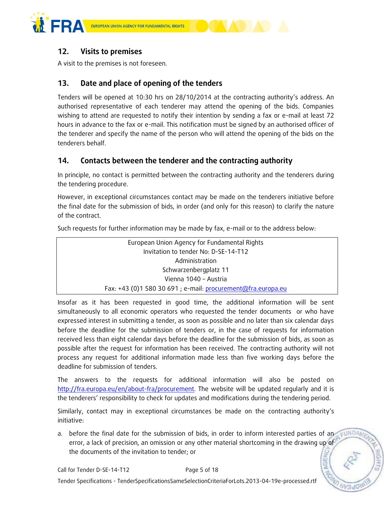



## **12. Visits to premises**

A visit to the premises is not foreseen.

## **13. Date and place of opening of the tenders**

Tenders will be opened at 10:30 hrs on 28/10/2014 at the contracting authority's address. An authorised representative of each tenderer may attend the opening of the bids. Companies wishing to attend are requested to notify their intention by sending a fax or e-mail at least 72 hours in advance to the fax or e-mail. This notification must be signed by an authorised officer of the tenderer and specify the name of the person who will attend the opening of the bids on the tenderers behalf.

## **14. Contacts between the tenderer and the contracting authority**

In principle, no contact is permitted between the contracting authority and the tenderers during the tendering procedure.

However, in exceptional circumstances contact may be made on the tenderers initiative before the final date for the submission of bids, in order (and only for this reason) to clarify the nature of the contract.

Such requests for further information may be made by fax, e-mail or to the address below:

| European Union Agency for Fundamental Rights                 |
|--------------------------------------------------------------|
| Invitation to tender No: D-SE-14-T12                         |
| Administration                                               |
| Schwarzenbergplatz 11                                        |
| Vienna 1040 - Austria                                        |
| Fax: +43 (0)1 580 30 691 ; e-mail: procurement@fra.europa.eu |

Insofar as it has been requested in good time, the additional information will be sent simultaneously to all economic operators who requested the tender documents or who have expressed interest in submitting a tender, as soon as possible and no later than six calendar days before the deadline for the submission of tenders or, in the case of requests for information received less than eight calendar days before the deadline for the submission of bids, as soon as possible after the request for information has been received. The contracting authority will not process any request for additional information made less than five working days before the deadline for submission of tenders.

The answers to the requests for additional information will also be posted on [http://fra.europa.eu/en/about-fra/procurement.](http://fra.europa.eu/en/about-fra/procurement) The website will be updated regularly and it is the tenderers' responsibility to check for updates and modifications during the tendering period.

Similarly, contact may in exceptional circumstances be made on the contracting authority's initiative:

a. before the final date for the submission of bids, in order to inform interested parties of an EUNDAI error, a lack of precision, an omission or any other material shortcoming in the drawing up of the documents of the invitation to tender; or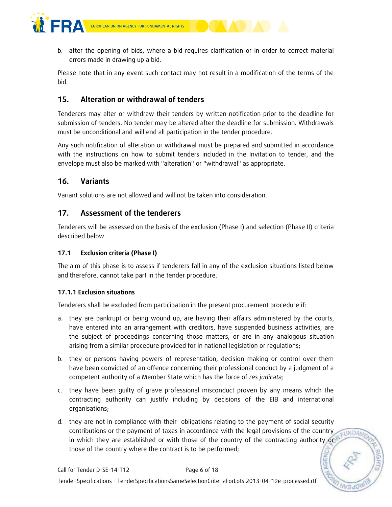



Please note that in any event such contact may not result in a modification of the terms of the bid.

## **15. Alteration or withdrawal of tenders**

Tenderers may alter or withdraw their tenders by written notification prior to the deadline for submission of tenders. No tender may be altered after the deadline for submission. Withdrawals must be unconditional and will end all participation in the tender procedure.

Any such notification of alteration or withdrawal must be prepared and submitted in accordance with the instructions on how to submit tenders included in the Invitation to tender, and the envelope must also be marked with "alteration" or "withdrawal" as appropriate.

## **16. Variants**

Variant solutions are not allowed and will not be taken into consideration.

#### **17. Assessment of the tenderers**

Tenderers will be assessed on the basis of the exclusion (Phase I) and selection (Phase II) criteria described below.

#### **17.1 Exclusion criteria (Phase I)**

The aim of this phase is to assess if tenderers fall in any of the exclusion situations listed below and therefore, cannot take part in the tender procedure.

#### **17.1.1 Exclusion situations**

Tenderers shall be excluded from participation in the present procurement procedure if:

- a. they are bankrupt or being wound up, are having their affairs administered by the courts, have entered into an arrangement with creditors, have suspended business activities, are the subject of proceedings concerning those matters, or are in any analogous situation arising from a similar procedure provided for in national legislation or regulations;
- b. they or persons having powers of representation, decision making or control over them have been convicted of an offence concerning their professional conduct by a judgment of a competent authority of a Member State which has the force of *res judicata;*
- c. they have been guilty of grave professional misconduct proven by any means which the contracting authority can justify including by decisions of the EIB and international organisations;
- d. they are not in compliance with their obligations relating to the payment of social security contributions or the payment of taxes in accordance with the legal provisions of the country EUNDAM in which they are established or with those of the country of the contracting authority or those of the country where the contract is to be performed;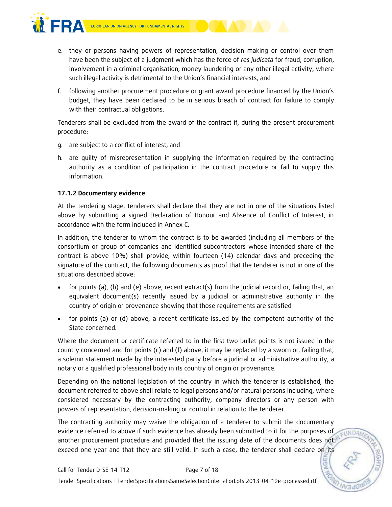



- e. they or persons having powers of representation, decision making or control over them have been the subject of a judgment which has the force of *res judicata* for fraud, corruption, involvement in a criminal organisation, money laundering or any other illegal activity, where such illegal activity is detrimental to the Union's financial interests, and
- f. following another procurement procedure or grant award procedure financed by the Union's budget, they have been declared to be in serious breach of contract for failure to comply with their contractual obligations.

Tenderers shall be excluded from the award of the contract if, during the present procurement procedure:

- g. are subject to a conflict of interest, and
- h. are guilty of misrepresentation in supplying the information required by the contracting authority as a condition of participation in the contract procedure or fail to supply this information.

#### **17.1.2 Documentary evidence**

At the tendering stage, tenderers shall declare that they are not in one of the situations listed above by submitting a signed Declaration of Honour and Absence of Conflict of Interest, in accordance with the form included in Annex C.

In addition, the tenderer to whom the contract is to be awarded (including all members of the consortium or group of companies and identified subcontractors whose intended share of the contract is above 10%) shall provide, within fourteen (14) calendar days and preceding the signature of the contract, the following documents as proof that the tenderer is not in one of the situations described above:

- for points (a), (b) and (e) above, recent extract(s) from the judicial record or, failing that, an equivalent document(s) recently issued by a judicial or administrative authority in the country of origin or provenance showing that those requirements are satisfied
- for points (a) or (d) above, a recent certificate issued by the competent authority of the State concerned.

Where the document or certificate referred to in the first two bullet points is not issued in the country concerned and for points (c) and (f) above, it may be replaced by a sworn or, failing that, a solemn statement made by the interested party before a judicial or administrative authority, a notary or a qualified professional body in its country of origin or provenance.

Depending on the national legislation of the country in which the tenderer is established, the document referred to above shall relate to legal persons and/or natural persons including, where considered necessary by the contracting authority, company directors or any person with powers of representation, decision-making or control in relation to the tenderer.

The contracting authority may waive the obligation of a tenderer to submit the documentary evidence referred to above if such evidence has already been submitted to it for the purposes of **EUNDAM** another procurement procedure and provided that the issuing date of the documents does not exceed one year and that they are still valid. In such a case, the tenderer shall declare on its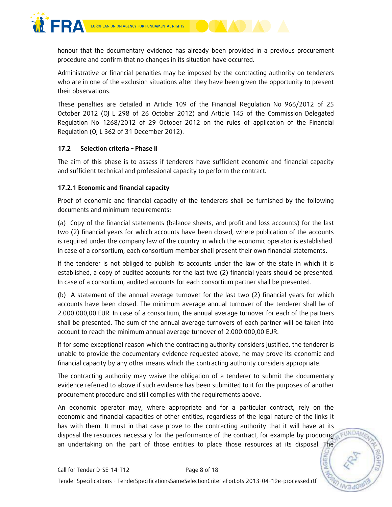

honour that the documentary evidence has already been provided in a previous procurement procedure and confirm that no changes in its situation have occurred.

Administrative or financial penalties may be imposed by the contracting authority on tenderers who are in one of the exclusion situations after they have been given the opportunity to present their observations.

These penalties are detailed in Article 109 of the Financial Regulation No 966/2012 of 25 October 2012 (OJ L 298 of 26 October 2012) and Article 145 of the Commission Delegated Regulation No 1268/2012 of 29 October 2012 on the rules of application of the Financial Regulation (OJ L 362 of 31 December 2012).

#### **17.2 Selection criteria – Phase II**

The aim of this phase is to assess if tenderers have sufficient economic and financial capacity and sufficient technical and professional capacity to perform the contract.

#### **17.2.1 Economic and financial capacity**

Proof of economic and financial capacity of the tenderers shall be furnished by the following documents and minimum requirements:

(a) Copy of the financial statements (balance sheets, and profit and loss accounts) for the last two (2) financial years for which accounts have been closed, where publication of the accounts is required under the company law of the country in which the economic operator is established. In case of a consortium, each consortium member shall present their own financial statements.

If the tenderer is not obliged to publish its accounts under the law of the state in which it is established, a copy of audited accounts for the last two (2) financial years should be presented. In case of a consortium, audited accounts for each consortium partner shall be presented.

(b) A statement of the annual average turnover for the last two (2) financial years for which accounts have been closed. The minimum average annual turnover of the tenderer shall be of 2.000.000,00 EUR. In case of a consortium, the annual average turnover for each of the partners shall be presented. The sum of the annual average turnovers of each partner will be taken into account to reach the minimum annual average turnover of 2.000.000,00 EUR.

If for some exceptional reason which the contracting authority considers justified, the tenderer is unable to provide the documentary evidence requested above, he may prove its economic and financial capacity by any other means which the contracting authority considers appropriate.

The contracting authority may waive the obligation of a tenderer to submit the documentary evidence referred to above if such evidence has been submitted to it for the purposes of another procurement procedure and still complies with the requirements above.

An economic operator may, where appropriate and for a particular contract, rely on the economic and financial capacities of other entities, regardless of the legal nature of the links it has with them. It must in that case prove to the contracting authority that it will have at its disposal the resources necessary for the performance of the contract, for example by producing a FUNDAM an undertaking on the part of those entities to place those resources at its disposal. The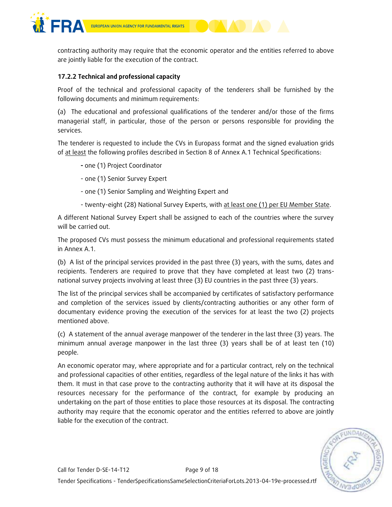

contracting authority may require that the economic operator and the entities referred to above are jointly liable for the execution of the contract.

#### **17.2.2 Technical and professional capacity**

Proof of the technical and professional capacity of the tenderers shall be furnished by the following documents and minimum requirements:

(a) The educational and professional qualifications of the tenderer and/or those of the firms managerial staff, in particular, those of the person or persons responsible for providing the services.

The tenderer is requested to include the CVs in Europass format and the signed evaluation grids of at least the following profiles described in Section 8 of Annex A.1 Technical Specifications:

- **-** one (1) Project Coordinator
- one (1) Senior Survey Expert
- one (1) Senior Sampling and Weighting Expert and
- twenty-eight (28) National Survey Experts, with at least one (1) per EU Member State.

A different National Survey Expert shall be assigned to each of the countries where the survey will be carried out.

The proposed CVs must possess the minimum educational and professional requirements stated in Annex A.1.

(b) A list of the principal services provided in the past three (3) years, with the sums, dates and recipients. Tenderers are required to prove that they have completed at least two (2) transnational survey projects involving at least three (3) EU countries in the past three (3) years.

The list of the principal services shall be accompanied by certificates of satisfactory performance and completion of the services issued by clients/contracting authorities or any other form of documentary evidence proving the execution of the services for at least the two (2) projects mentioned above.

(c) A statement of the annual average manpower of the tenderer in the last three (3) years. The minimum annual average manpower in the last three (3) years shall be of at least ten (10) people.

An economic operator may, where appropriate and for a particular contract, rely on the technical and professional capacities of other entities, regardless of the legal nature of the links it has with them. It must in that case prove to the contracting authority that it will have at its disposal the resources necessary for the performance of the contract, for example by producing an undertaking on the part of those entities to place those resources at its disposal. The contracting authority may require that the economic operator and the entities referred to above are jointly liable for the execution of the contract.

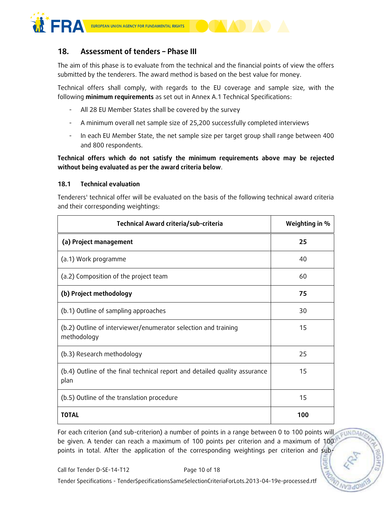

## **18. Assessment of tenders – Phase III**

The aim of this phase is to evaluate from the technical and the financial points of view the offers submitted by the tenderers. The award method is based on the best value for money.

Technical offers shall comply, with regards to the EU coverage and sample size, with the following **minimum requirements** as set out in Annex A.1 Technical Specifications:

- All 28 EU Member States shall be covered by the survey
- A minimum overall net sample size of 25,200 successfully completed interviews
- In each EU Member State, the net sample size per target group shall range between 400 and 800 respondents.

**Technical offers which do not satisfy the minimum requirements above may be rejected without being evaluated as per the award criteria below**.

#### **18.1 Technical evaluation**

Tenderers' technical offer will be evaluated on the basis of the following technical award criteria and their corresponding weightings:

| Technical Award criteria/sub-criteria                                              | Weighting in % |
|------------------------------------------------------------------------------------|----------------|
| (a) Project management                                                             | 25             |
| (a.1) Work programme                                                               | 40             |
| (a.2) Composition of the project team                                              | 60             |
| (b) Project methodology                                                            | 75             |
| (b.1) Outline of sampling approaches                                               | 30             |
| (b.2) Outline of interviewer/enumerator selection and training<br>methodology      | 15             |
| (b.3) Research methodology                                                         | 25             |
| (b.4) Outline of the final technical report and detailed quality assurance<br>plan | 15             |
| (b.5) Outline of the translation procedure                                         | 15             |
| <b>TOTAL</b>                                                                       | 100            |

For each criterion (and sub-criterion) a number of points in a range between 0 to 100 points will EUNDA be given. A tender can reach a maximum of 100 points per criterion and a maximum of 100 points in total. After the application of the corresponding weightings per criterion and sub-

Tender Specifications - TenderSpecificationsSameSelectionCriteriaForLots.2013-04-19e-processed.rtf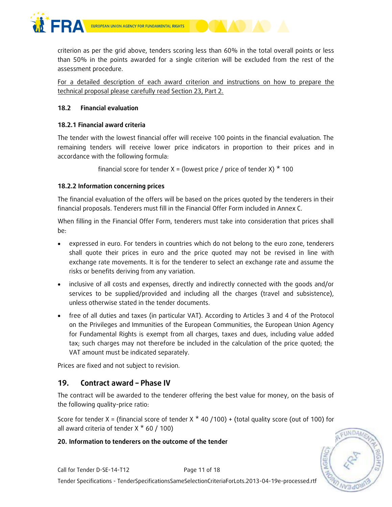

criterion as per the grid above, tenders scoring less than 60% in the total overall points or less than 50% in the points awarded for a single criterion will be excluded from the rest of the assessment procedure.

For a detailed description of each award criterion and instructions on how to prepare the technical proposal please carefully read Section 23, Part 2.

#### **18.2 Financial evaluation**

#### **18.2.1 Financial award criteria**

The tender with the lowest financial offer will receive 100 points in the financial evaluation. The remaining tenders will receive lower price indicators in proportion to their prices and in accordance with the following formula:

financial score for tender  $X =$  (lowest price / price of tender X)  $*$  100

#### **18.2.2 Information concerning prices**

The financial evaluation of the offers will be based on the prices quoted by the tenderers in their financial proposals. Tenderers must fill in the Financial Offer Form included in Annex C.

When filling in the Financial Offer Form, tenderers must take into consideration that prices shall be:

- expressed in euro. For tenders in countries which do not belong to the euro zone, tenderers shall quote their prices in euro and the price quoted may not be revised in line with exchange rate movements. It is for the tenderer to select an exchange rate and assume the risks or benefits deriving from any variation.
- inclusive of all costs and expenses, directly and indirectly connected with the goods and/or services to be supplied/provided and including all the charges (travel and subsistence), unless otherwise stated in the tender documents.
- free of all duties and taxes (in particular VAT). According to Articles 3 and 4 of the Protocol on the Privileges and Immunities of the European Communities, the European Union Agency for Fundamental Rights is exempt from all charges, taxes and dues, including value added tax; such charges may not therefore be included in the calculation of the price quoted; the VAT amount must be indicated separately.

Prices are fixed and not subject to revision.

## **19. Contract award – Phase IV**

The contract will be awarded to the tenderer offering the best value for money, on the basis of the following quality-price ratio:

Score for tender X = (financial score of tender X  $*$  40 /100) + (total quality score (out of 100) for all award criteria of tender  $X * 60 / 100$ 

#### **20. Information to tenderers on the outcome of the tender**

EUNDAA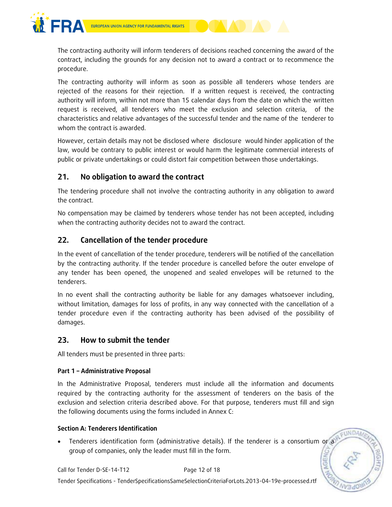



The contracting authority will inform tenderers of decisions reached concerning the award of the contract, including the grounds for any decision not to award a contract or to recommence the procedure.

The contracting authority will inform as soon as possible all tenderers whose tenders are rejected of the reasons for their rejection. If a written request is received, the contracting authority will inform, within not more than 15 calendar days from the date on which the written request is received, all tenderers who meet the exclusion and selection criteria, of the characteristics and relative advantages of the successful tender and the name of the tenderer to whom the contract is awarded.

However, certain details may not be disclosed where disclosure would hinder application of the law, would be contrary to public interest or would harm the legitimate commercial interests of public or private undertakings or could distort fair competition between those undertakings.

## **21. No obligation to award the contract**

The tendering procedure shall not involve the contracting authority in any obligation to award the contract.

No compensation may be claimed by tenderers whose tender has not been accepted, including when the contracting authority decides not to award the contract.

## **22. Cancellation of the tender procedure**

In the event of cancellation of the tender procedure, tenderers will be notified of the cancellation by the contracting authority. If the tender procedure is cancelled before the outer envelope of any tender has been opened, the unopened and sealed envelopes will be returned to the tenderers.

In no event shall the contracting authority be liable for any damages whatsoever including, without limitation, damages for loss of profits, in any way connected with the cancellation of a tender procedure even if the contracting authority has been advised of the possibility of damages.

## **23. How to submit the tender**

All tenders must be presented in three parts:

#### **Part 1 – Administrative Proposal**

In the Administrative Proposal, tenderers must include all the information and documents required by the contracting authority for the assessment of tenderers on the basis of the exclusion and selection criteria described above. For that purpose, tenderers must fill and sign the following documents using the forms included in Annex C:

EUNDA

#### **Section A: Tenderers Identification**

 Tenderers identification form (administrative details). If the tenderer is a consortium or a group of companies, only the leader must fill in the form.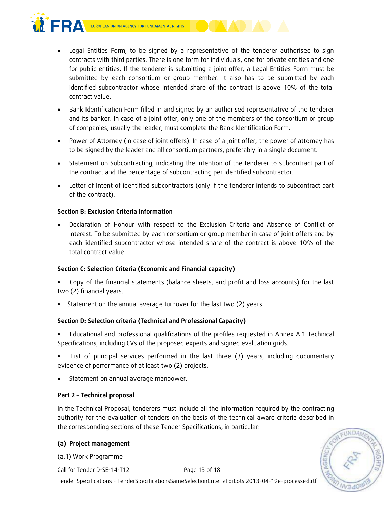



- Legal Entities Form, to be signed by a representative of the tenderer authorised to sign contracts with third parties. There is one form for individuals, one for private entities and one for public entities. If the tenderer is submitting a joint offer, a Legal Entities Form must be submitted by each consortium or group member. It also has to be submitted by each identified subcontractor whose intended share of the contract is above 10% of the total contract value.
- Bank Identification Form filled in and signed by an authorised representative of the tenderer and its banker. In case of a joint offer, only one of the members of the consortium or group of companies, usually the leader, must complete the Bank Identification Form.
- Power of Attorney (in case of joint offers). In case of a joint offer, the power of attorney has to be signed by the leader and all consortium partners, preferably in a single document.
- Statement on Subcontracting, indicating the intention of the tenderer to subcontract part of the contract and the percentage of subcontracting per identified subcontractor.
- Letter of Intent of identified subcontractors (only if the tenderer intends to subcontract part of the contract).

#### **Section B: Exclusion Criteria information**

 Declaration of Honour with respect to the Exclusion Criteria and Absence of Conflict of Interest. To be submitted by each consortium or group member in case of joint offers and by each identified subcontractor whose intended share of the contract is above 10% of the total contract value.

#### **Section C: Selection Criteria (Economic and Financial capacity)**

- Copy of the financial statements (balance sheets, and profit and loss accounts) for the last two (2) financial years.
- Statement on the annual average turnover for the last two (2) years.

#### **Section D: Selection criteria (Technical and Professional Capacity)**

 Educational and professional qualifications of the profiles requested in Annex A.1 Technical Specifications, including CVs of the proposed experts and signed evaluation grids.

 List of principal services performed in the last three (3) years, including documentary evidence of performance of at least two (2) projects.

• Statement on annual average manpower.

#### **Part 2 – Technical proposal**

In the Technical Proposal, tenderers must include all the information required by the contracting authority for the evaluation of tenders on the basis of the technical award criteria described in the corresponding sections of these Tender Specifications, in particular:

#### **(a) Project management**

#### (a.1) Work Programme

Call for Tender D-SE-14-T12 Page 13 of 18

Tender Specifications - TenderSpecificationsSameSelectionCriteriaForLots.2013-04-19e-processed.rtf

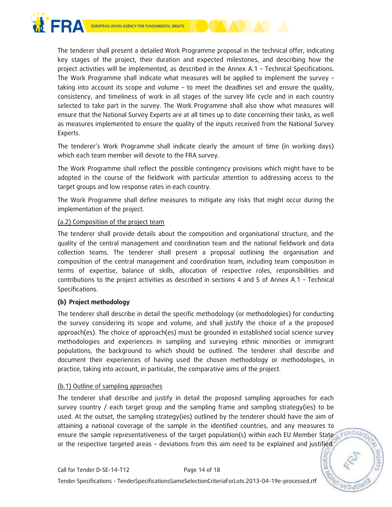

The tenderer shall present a detailed Work Programme proposal in the technical offer, indicating key stages of the project, their duration and expected milestones, and describing how the project activities will be implemented, as described in the Annex A.1 – Technical Specifications. The Work Programme shall indicate what measures will be applied to implement the survey – taking into account its scope and volume – to meet the deadlines set and ensure the quality, consistency, and timeliness of work in all stages of the survey life cycle and in each country selected to take part in the survey. The Work Programme shall also show what measures will ensure that the National Survey Experts are at all times up to date concerning their tasks, as well as measures implemented to ensure the quality of the inputs received from the National Survey Experts.

The tenderer's Work Programme shall indicate clearly the amount of time (in working days) which each team member will devote to the FRA survey.

The Work Programme shall reflect the possible contingency provisions which might have to be adopted in the course of the fieldwork with particular attention to addressing access to the target groups and low response rates in each country.

The Work Programme shall define measures to mitigate any risks that might occur during the implementation of the project.

#### (a.2) Composition of the project team

The tenderer shall provide details about the composition and organisational structure, and the quality of the central management and coordination team and the national fieldwork and data collection teams. The tenderer shall present a proposal outlining the organisation and composition of the central management and coordination team, including team composition in terms of expertise, balance of skills, allocation of respective roles, responsibilities and contributions to the project activities as described in sections 4 and 5 of Annex A.1 – Technical Specifications.

#### **(b) Project methodology**

The tenderer shall describe in detail the specific methodology (or methodologies) for conducting the survey considering its scope and volume, and shall justify the choice of a the proposed approach(es). The choice of approach(es) must be grounded in established social science survey methodologies and experiences in sampling and surveying ethnic minorities or immigrant populations, the background to which should be outlined. The tenderer shall describe and document their experiences of having used the chosen methodology or methodologies, in practice, taking into account, in particular, the comparative aims of the project.

#### (b.1) Outline of sampling approaches

The tenderer shall describe and justify in detail the proposed sampling approaches for each survey country / each target group and the sampling frame and sampling strategy(ies) to be used. At the outset, the sampling strategy(ies) outlined by the tenderer should have the aim of attaining a national coverage of the sample in the identified countries, and any measures to ensure the sample representativeness of the target population(s) within each EU Member State or the respective targeted areas – deviations from this aim need to be explained and justified.

FUNDAM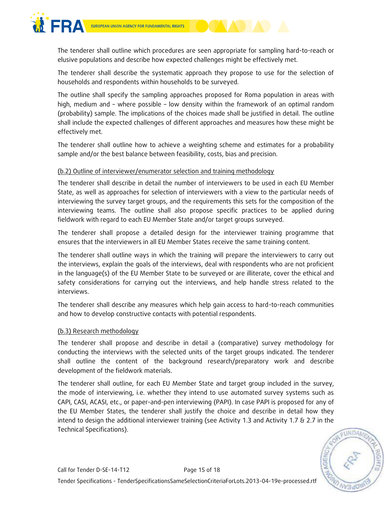

The tenderer shall outline which procedures are seen appropriate for sampling hard-to-reach or elusive populations and describe how expected challenges might be effectively met.

The tenderer shall describe the systematic approach they propose to use for the selection of households and respondents within households to be surveyed.

The outline shall specify the sampling approaches proposed for Roma population in areas with high, medium and – where possible – low density within the framework of an optimal random (probability) sample. The implications of the choices made shall be justified in detail. The outline shall include the expected challenges of different approaches and measures how these might be effectively met.

The tenderer shall outline how to achieve a weighting scheme and estimates for a probability sample and/or the best balance between feasibility, costs, bias and precision.

#### (b.2) Outline of interviewer/enumerator selection and training methodology

The tenderer shall describe in detail the number of interviewers to be used in each EU Member State, as well as approaches for selection of interviewers with a view to the particular needs of interviewing the survey target groups, and the requirements this sets for the composition of the interviewing teams. The outline shall also propose specific practices to be applied during fieldwork with regard to each EU Member State and/or target groups surveyed.

The tenderer shall propose a detailed design for the interviewer training programme that ensures that the interviewers in all EU Member States receive the same training content.

The tenderer shall outline ways in which the training will prepare the interviewers to carry out the interviews, explain the goals of the interviews, deal with respondents who are not proficient in the language(s) of the EU Member State to be surveyed or are illiterate, cover the ethical and safety considerations for carrying out the interviews, and help handle stress related to the interviews.

The tenderer shall describe any measures which help gain access to hard-to-reach communities and how to develop constructive contacts with potential respondents.

#### (b.3) Research methodology

The tenderer shall propose and describe in detail a (comparative) survey methodology for conducting the interviews with the selected units of the target groups indicated. The tenderer shall outline the content of the background research/preparatory work and describe development of the fieldwork materials.

The tenderer shall outline, for each EU Member State and target group included in the survey, the mode of interviewing, i.e. whether they intend to use automated survey systems such as CAPI, CASI, ACASI, etc., or paper-and-pen interviewing (PAPI). In case PAPI is proposed for any of the EU Member States, the tenderer shall justify the choice and describe in detail how they intend to design the additional interviewer training (see Activity 1.3 and Activity 1.7 & 2.7 in the Technical Specifications).

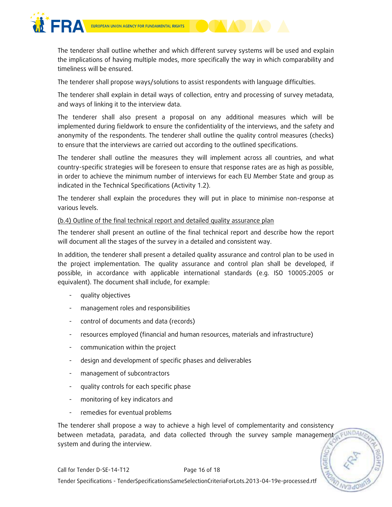

The tenderer shall outline whether and which different survey systems will be used and explain the implications of having multiple modes, more specifically the way in which comparability and timeliness will be ensured.

The tenderer shall propose ways/solutions to assist respondents with language difficulties.

The tenderer shall explain in detail ways of collection, entry and processing of survey metadata, and ways of linking it to the interview data.

The tenderer shall also present a proposal on any additional measures which will be implemented during fieldwork to ensure the confidentiality of the interviews, and the safety and anonymity of the respondents. The tenderer shall outline the quality control measures (checks) to ensure that the interviews are carried out according to the outlined specifications.

The tenderer shall outline the measures they will implement across all countries, and what country-specific strategies will be foreseen to ensure that response rates are as high as possible, in order to achieve the minimum number of interviews for each EU Member State and group as indicated in the Technical Specifications (Activity 1.2).

The tenderer shall explain the procedures they will put in place to minimise non-response at various levels.

#### (b.4) Outline of the final technical report and detailed quality assurance plan

The tenderer shall present an outline of the final technical report and describe how the report will document all the stages of the survey in a detailed and consistent way.

In addition, the tenderer shall present a detailed quality assurance and control plan to be used in the project implementation. The quality assurance and control plan shall be developed, if possible, in accordance with applicable international standards (e.g. ISO 10005:2005 or equivalent). The document shall include, for example:

- quality objectives
- management roles and responsibilities
- control of documents and data (records)
- resources employed (financial and human resources, materials and infrastructure)
- communication within the project
- design and development of specific phases and deliverables
- management of subcontractors
- quality controls for each specific phase
- monitoring of key indicators and
- remedies for eventual problems

The tenderer shall propose a way to achieve a high level of complementarity and consistency between metadata, paradata, and data collected through the survey sample management system and during the interview.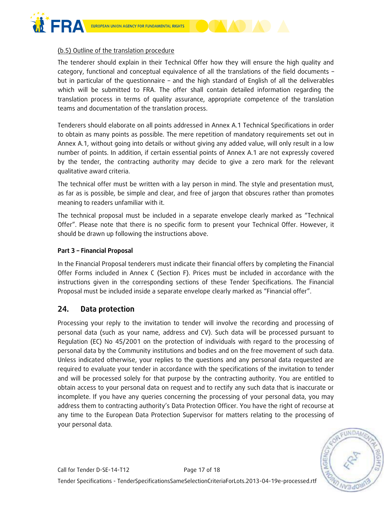

(b.5) Outline of the translation procedure

The tenderer should explain in their Technical Offer how they will ensure the high quality and category, functional and conceptual equivalence of all the translations of the field documents – but in particular of the questionnaire – and the high standard of English of all the deliverables which will be submitted to FRA. The offer shall contain detailed information regarding the translation process in terms of quality assurance, appropriate competence of the translation teams and documentation of the translation process.

Tenderers should elaborate on all points addressed in Annex A.1 Technical Specifications in order to obtain as many points as possible. The mere repetition of mandatory requirements set out in Annex A.1, without going into details or without giving any added value, will only result in a low number of points. In addition, if certain essential points of Annex A.1 are not expressly covered by the tender, the contracting authority may decide to give a zero mark for the relevant qualitative award criteria.

The technical offer must be written with a lay person in mind. The style and presentation must, as far as is possible, be simple and clear, and free of jargon that obscures rather than promotes meaning to readers unfamiliar with it.

The technical proposal must be included in a separate envelope clearly marked as "Technical Offer". Please note that there is no specific form to present your Technical Offer. However, it should be drawn up following the instructions above.

#### **Part 3 – Financial Proposal**

In the Financial Proposal tenderers must indicate their financial offers by completing the Financial Offer Forms included in Annex C (Section F). Prices must be included in accordance with the instructions given in the corresponding sections of these Tender Specifications. The Financial Proposal must be included inside a separate envelope clearly marked as "Financial offer".

#### **24. Data protection**

Processing your reply to the invitation to tender will involve the recording and processing of personal data (such as your name, address and CV). Such data will be processed pursuant to Regulation (EC) No 45/2001 on the protection of individuals with regard to the processing of personal data by the Community institutions and bodies and on the free movement of such data. Unless indicated otherwise, your replies to the questions and any personal data requested are required to evaluate your tender in accordance with the specifications of the invitation to tender and will be processed solely for that purpose by the contracting authority. You are entitled to obtain access to your personal data on request and to rectify any such data that is inaccurate or incomplete. If you have any queries concerning the processing of your personal data, you may address them to contracting authority's Data Protection Officer. You have the right of recourse at any time to the European Data Protection Supervisor for matters relating to the processing of your personal data.